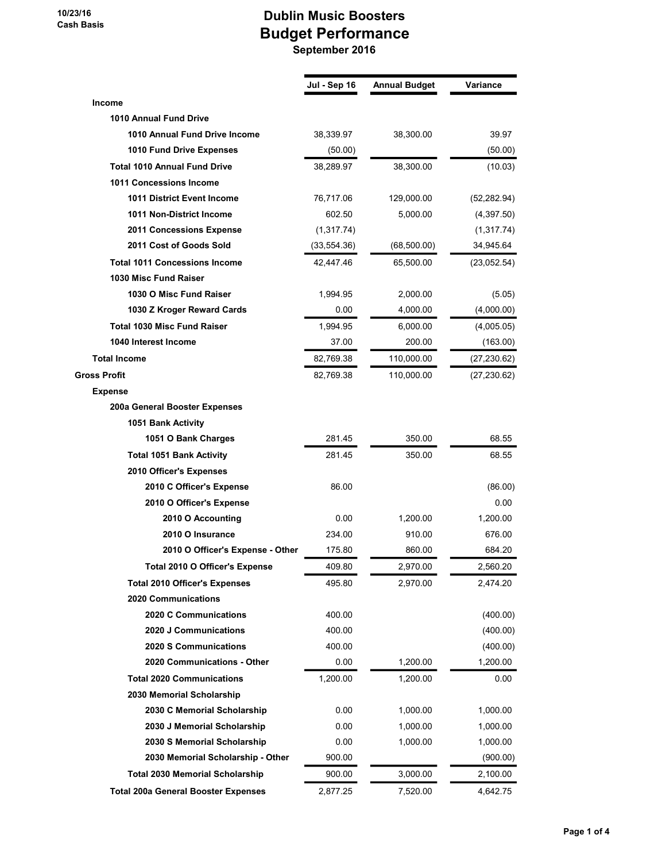## Dublin Music Boosters Budget Performance September 2016

|                                            | Jul - Sep 16 | Annual Budget | Variance     |
|--------------------------------------------|--------------|---------------|--------------|
| Income                                     |              |               |              |
| 1010 Annual Fund Drive                     |              |               |              |
| 1010 Annual Fund Drive Income              | 38,339.97    | 38,300.00     | 39.97        |
| 1010 Fund Drive Expenses                   | (50.00)      |               | (50.00)      |
| <b>Total 1010 Annual Fund Drive</b>        | 38,289.97    | 38,300.00     | (10.03)      |
| 1011 Concessions Income                    |              |               |              |
| 1011 District Event Income                 | 76,717.06    | 129,000.00    | (52, 282.94) |
| 1011 Non-District Income                   | 602.50       | 5,000.00      | (4,397.50)   |
| 2011 Concessions Expense                   | (1,317.74)   |               | (1,317.74)   |
| 2011 Cost of Goods Sold                    | (33, 554.36) | (68,500.00)   | 34,945.64    |
| <b>Total 1011 Concessions Income</b>       | 42,447.46    | 65,500.00     | (23,052.54)  |
| 1030 Misc Fund Raiser                      |              |               |              |
| 1030 O Misc Fund Raiser                    | 1,994.95     | 2,000.00      | (5.05)       |
| 1030 Z Kroger Reward Cards                 | 0.00         | 4,000.00      | (4,000.00)   |
| <b>Total 1030 Misc Fund Raiser</b>         | 1,994.95     | 6,000.00      | (4,005.05)   |
| 1040 Interest Income                       | 37.00        | 200.00        | (163.00)     |
| <b>Total Income</b>                        | 82,769.38    | 110,000.00    | (27, 230.62) |
| <b>Gross Profit</b>                        | 82,769.38    | 110,000.00    | (27, 230.62) |
| <b>Expense</b>                             |              |               |              |
| 200a General Booster Expenses              |              |               |              |
| 1051 Bank Activity                         |              |               |              |
| 1051 O Bank Charges                        | 281.45       | 350.00        | 68.55        |
| <b>Total 1051 Bank Activity</b>            | 281.45       | 350.00        | 68.55        |
| 2010 Officer's Expenses                    |              |               |              |
| 2010 C Officer's Expense                   | 86.00        |               | (86.00)      |
| 2010 O Officer's Expense                   |              |               | 0.00         |
| 2010 O Accounting                          | 0.00         | 1,200.00      | 1,200.00     |
| 2010 O Insurance                           | 234.00       | 910.00        | 676.00       |
| 2010 O Officer's Expense - Other           | 175.80       | 860.00        | 684.20       |
| Total 2010 O Officer's Expense             | 409.80       | 2,970.00      | 2,560.20     |
| <b>Total 2010 Officer's Expenses</b>       | 495.80       | 2.970.00      | 2,474.20     |
| 2020 Communications                        |              |               |              |
| 2020 C Communications                      | 400.00       |               | (400.00)     |
| 2020 J Communications                      | 400.00       |               | (400.00)     |
| 2020 S Communications                      | 400.00       |               | (400.00)     |
| 2020 Communications - Other                | 0.00         | 1,200.00      | 1,200.00     |
| <b>Total 2020 Communications</b>           | 1,200.00     | 1,200.00      | 0.00         |
| 2030 Memorial Scholarship                  |              |               |              |
| 2030 C Memorial Scholarship                | 0.00         | 1,000.00      | 1,000.00     |
| 2030 J Memorial Scholarship                | 0.00         | 1,000.00      | 1,000.00     |
| 2030 S Memorial Scholarship                | 0.00         | 1,000.00      | 1,000.00     |
| 2030 Memorial Scholarship - Other          | 900.00       |               | (900.00)     |
| <b>Total 2030 Memorial Scholarship</b>     | 900.00       | 3,000.00      | 2,100.00     |
| <b>Total 200a General Booster Expenses</b> | 2,877.25     | 7,520.00      | 4,642.75     |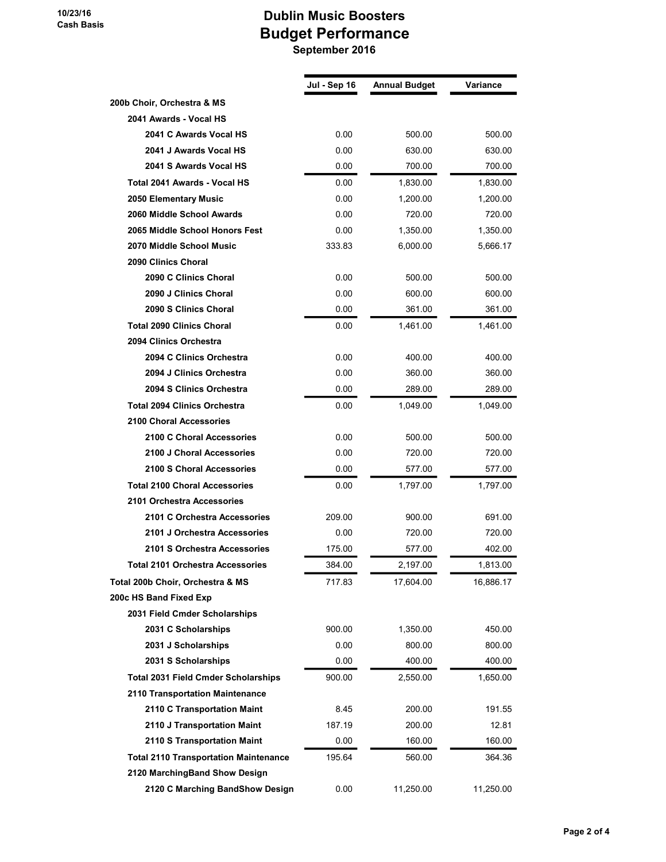## Dublin Music Boosters Budget Performance September 2016

|                                              | Jul - Sep 16 | <b>Annual Budget</b> | Variance  |
|----------------------------------------------|--------------|----------------------|-----------|
| 200b Choir, Orchestra & MS                   |              |                      |           |
| 2041 Awards - Vocal HS                       |              |                      |           |
| 2041 C Awards Vocal HS                       | 0.00         | 500.00               | 500.00    |
| 2041 J Awards Vocal HS                       | 0.00         | 630.00               | 630.00    |
| 2041 S Awards Vocal HS                       | 0.00         | 700.00               | 700.00    |
| Total 2041 Awards - Vocal HS                 | 0.00         | 1,830.00             | 1,830.00  |
| 2050 Elementary Music                        | 0.00         | 1,200.00             | 1,200.00  |
| 2060 Middle School Awards                    | 0.00         | 720.00               | 720.00    |
| 2065 Middle School Honors Fest               | 0.00         | 1,350.00             | 1,350.00  |
| 2070 Middle School Music                     | 333.83       | 6,000.00             | 5,666.17  |
| 2090 Clinics Choral                          |              |                      |           |
| 2090 C Clinics Choral                        | 0.00         | 500.00               | 500.00    |
| 2090 J Clinics Choral                        | 0.00         | 600.00               | 600.00    |
| 2090 S Clinics Choral                        | 0.00         | 361.00               | 361.00    |
| <b>Total 2090 Clinics Choral</b>             | 0.00         | 1,461.00             | 1,461.00  |
| 2094 Clinics Orchestra                       |              |                      |           |
| 2094 C Clinics Orchestra                     | 0.00         | 400.00               | 400.00    |
| 2094 J Clinics Orchestra                     | 0.00         | 360.00               | 360.00    |
| 2094 S Clinics Orchestra                     | 0.00         | 289.00               | 289.00    |
| <b>Total 2094 Clinics Orchestra</b>          | 0.00         | 1,049.00             | 1,049.00  |
| <b>2100 Choral Accessories</b>               |              |                      |           |
| 2100 C Choral Accessories                    | 0.00         | 500.00               | 500.00    |
| 2100 J Choral Accessories                    | 0.00         | 720.00               | 720.00    |
| 2100 S Choral Accessories                    | 0.00         | 577.00               | 577.00    |
| <b>Total 2100 Choral Accessories</b>         | 0.00         | 1,797.00             | 1,797.00  |
| 2101 Orchestra Accessories                   |              |                      |           |
| 2101 C Orchestra Accessories                 | 209.00       | 900.00               | 691.00    |
| 2101 J Orchestra Accessories                 | 0.00         | 720.00               | 720.00    |
| 2101 S Orchestra Accessories                 | 175.00       | 577.00               | 402.00    |
| Total 2101 Orchestra Accessories             | 384.00       | 2.197.00             | 1,813.00  |
| Total 200b Choir, Orchestra & MS             | 717.83       | 17,604.00            | 16,886.17 |
| 200c HS Band Fixed Exp                       |              |                      |           |
| 2031 Field Cmder Scholarships                |              |                      |           |
| 2031 C Scholarships                          | 900.00       | 1,350.00             | 450.00    |
| 2031 J Scholarships                          | 0.00         | 800.00               | 800.00    |
| 2031 S Scholarships                          | 0.00         | 400.00               | 400.00    |
| <b>Total 2031 Field Cmder Scholarships</b>   | 900.00       | 2,550.00             | 1,650.00  |
| 2110 Transportation Maintenance              |              |                      |           |
| 2110 C Transportation Maint                  | 8.45         | 200.00               | 191.55    |
| 2110 J Transportation Maint                  | 187.19       | 200.00               | 12.81     |
| 2110 S Transportation Maint                  | 0.00         | 160.00               | 160.00    |
| <b>Total 2110 Transportation Maintenance</b> | 195.64       | 560.00               | 364.36    |
| 2120 MarchingBand Show Design                |              |                      |           |
| 2120 C Marching BandShow Design              | 0.00         | 11,250.00            | 11,250.00 |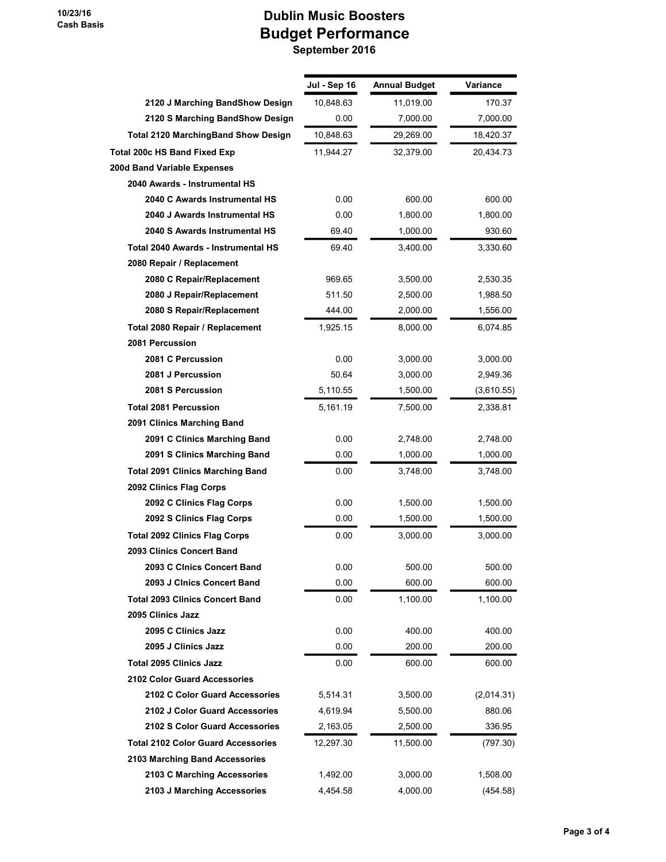## Dublin Music Boosters Budget Performance

September 2016

|                                            | Jul - Sep 16 | <b>Annual Budget</b> | Variance   |
|--------------------------------------------|--------------|----------------------|------------|
| 2120 J Marching BandShow Design            | 10,848.63    | 11,019.00            | 170.37     |
| 2120 S Marching BandShow Design            | 0.00         | 7,000.00             | 7,000.00   |
| <b>Total 2120 MarchingBand Show Design</b> | 10,848.63    | 29,269.00            | 18,420.37  |
| Total 200c HS Band Fixed Exp               | 11,944.27    | 32,379.00            | 20,434.73  |
| 200d Band Variable Expenses                |              |                      |            |
| 2040 Awards - Instrumental HS              |              |                      |            |
| 2040 C Awards Instrumental HS              | 0.00         | 600.00               | 600.00     |
| 2040 J Awards Instrumental HS              | 0.00         | 1,800.00             | 1,800.00   |
| 2040 S Awards Instrumental HS              | 69.40        | 1,000.00             | 930.60     |
| Total 2040 Awards - Instrumental HS        | 69.40        | 3,400.00             | 3,330.60   |
| 2080 Repair / Replacement                  |              |                      |            |
| 2080 C Repair/Replacement                  | 969.65       | 3,500.00             | 2,530.35   |
| 2080 J Repair/Replacement                  | 511.50       | 2,500.00             | 1,988.50   |
| 2080 S Repair/Replacement                  | 444.00       | 2,000.00             | 1,556.00   |
| Total 2080 Repair / Replacement            | 1,925.15     | 8,000.00             | 6,074.85   |
| 2081 Percussion                            |              |                      |            |
| 2081 C Percussion                          | 0.00         | 3,000.00             | 3,000.00   |
| 2081 J Percussion                          | 50.64        | 3,000.00             | 2,949.36   |
| 2081 S Percussion                          | 5,110.55     | 1,500.00             | (3,610.55) |
| <b>Total 2081 Percussion</b>               | 5,161.19     | 7,500.00             | 2,338.81   |
| 2091 Clinics Marching Band                 |              |                      |            |
| 2091 C Clinics Marching Band               | 0.00         | 2,748.00             | 2,748.00   |
| 2091 S Clinics Marching Band               | 0.00         | 1,000.00             | 1,000.00   |
| <b>Total 2091 Clinics Marching Band</b>    | $0.00\,$     | 3,748.00             | 3,748.00   |
| 2092 Clinics Flag Corps                    |              |                      |            |
| 2092 C Clinics Flag Corps                  | 0.00         | 1,500.00             | 1,500.00   |
| 2092 S Clinics Flag Corps                  | 0.00         | 1,500.00             | 1,500.00   |
| <b>Total 2092 Clinics Flag Corps</b>       | 0.00         | 3,000.00             | 3,000.00   |
| 2093 Clinics Concert Band                  |              |                      |            |
| 2093 C Clnics Concert Band                 | 0.00         | 500.00               | 500.00     |
| 2093 J Cinics Concert Band                 | 0.00         | 600.00               | 600.00     |
| <b>Total 2093 Clinics Concert Band</b>     | 0.00         | 1,100.00             | 1,100.00   |
| 2095 Clinics Jazz                          |              |                      |            |
| 2095 C Clinics Jazz                        | 0.00         | 400.00               | 400.00     |
| 2095 J Clinics Jazz                        | 0.00         | 200.00               | 200.00     |
| <b>Total 2095 Clinics Jazz</b>             | 0.00         | 600.00               | 600.00     |
| <b>2102 Color Guard Accessories</b>        |              |                      |            |
| 2102 C Color Guard Accessories             | 5,514.31     | 3,500.00             | (2,014.31) |
| 2102 J Color Guard Accessories             | 4,619.94     | 5,500.00             | 880.06     |
| 2102 S Color Guard Accessories             | 2,163.05     | 2,500.00             | 336.95     |
| <b>Total 2102 Color Guard Accessories</b>  | 12,297.30    | 11,500.00            | (797.30)   |
| 2103 Marching Band Accessories             |              |                      |            |
| 2103 C Marching Accessories                | 1,492.00     | 3,000.00             | 1,508.00   |
| 2103 J Marching Accessories                | 4,454.58     | 4,000.00             | (454.58)   |